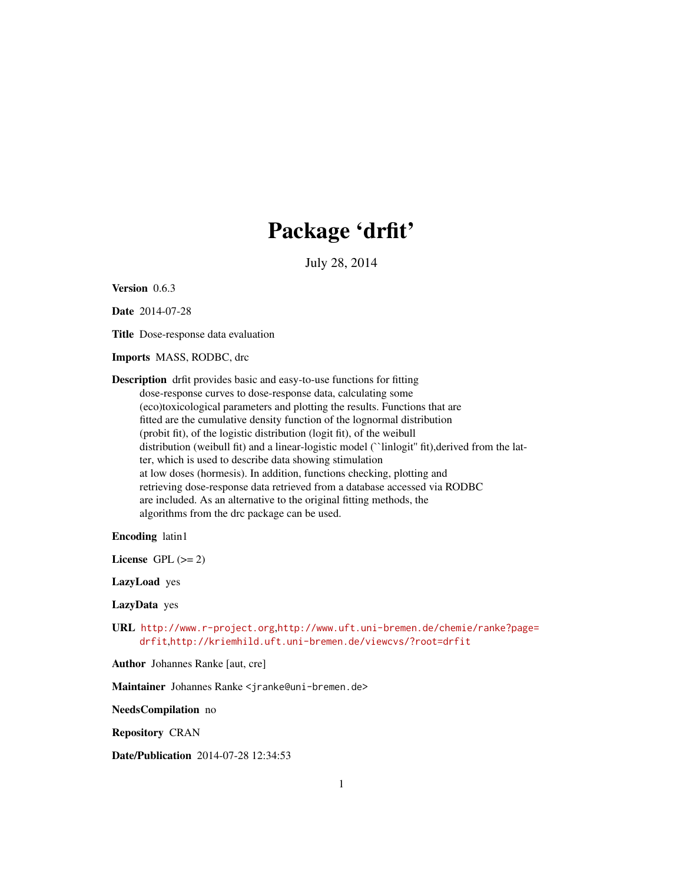# Package 'drfit'

July 28, 2014

<span id="page-0-0"></span>Version 0.6.3

Date 2014-07-28

Title Dose-response data evaluation

Imports MASS, RODBC, drc

Description drfit provides basic and easy-to-use functions for fitting dose-response curves to dose-response data, calculating some (eco)toxicological parameters and plotting the results. Functions that are fitted are the cumulative density function of the lognormal distribution (probit fit), of the logistic distribution (logit fit), of the weibull distribution (weibull fit) and a linear-logistic model (``linlogit'' fit),derived from the latter, which is used to describe data showing stimulation at low doses (hormesis). In addition, functions checking, plotting and retrieving dose-response data retrieved from a database accessed via RODBC are included. As an alternative to the original fitting methods, the algorithms from the drc package can be used.

Encoding latin1

License GPL  $(>= 2)$ 

LazyLoad yes

LazyData yes

URL <http://www.r-project.org>,[http://www.uft.uni-bremen.de/chemie/ranke?page=](http://www.uft.uni-bremen.de/chemie/ranke?page=drfit) [drfit](http://www.uft.uni-bremen.de/chemie/ranke?page=drfit),<http://kriemhild.uft.uni-bremen.de/viewcvs/?root=drfit>

Author Johannes Ranke [aut, cre]

Maintainer Johannes Ranke <jranke@uni-bremen.de>

NeedsCompilation no

Repository CRAN

Date/Publication 2014-07-28 12:34:53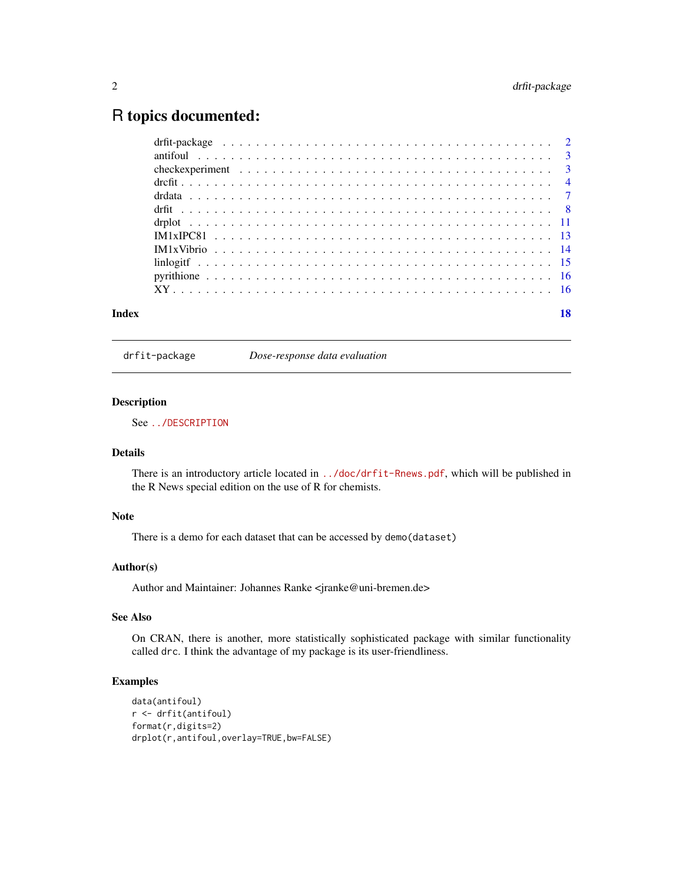# <span id="page-1-0"></span>R topics documented:

|  |  |  |  |  |  |  |  |  |  |  |  |  | 18 |
|--|--|--|--|--|--|--|--|--|--|--|--|--|----|
|  |  |  |  |  |  |  |  |  |  |  |  |  |    |

drfit-package *Dose-response data evaluation*

# Description

See <../DESCRIPTION>

### Details

There is an introductory article located in <../doc/drfit-Rnews.pdf>, which will be published in the R News special edition on the use of R for chemists.

# Note

There is a demo for each dataset that can be accessed by demo(dataset)

#### Author(s)

Author and Maintainer: Johannes Ranke <jranke@uni-bremen.de>

# See Also

On CRAN, there is another, more statistically sophisticated package with similar functionality called drc. I think the advantage of my package is its user-friendliness.

# Examples

```
data(antifoul)
r <- drfit(antifoul)
format(r,digits=2)
drplot(r,antifoul,overlay=TRUE,bw=FALSE)
```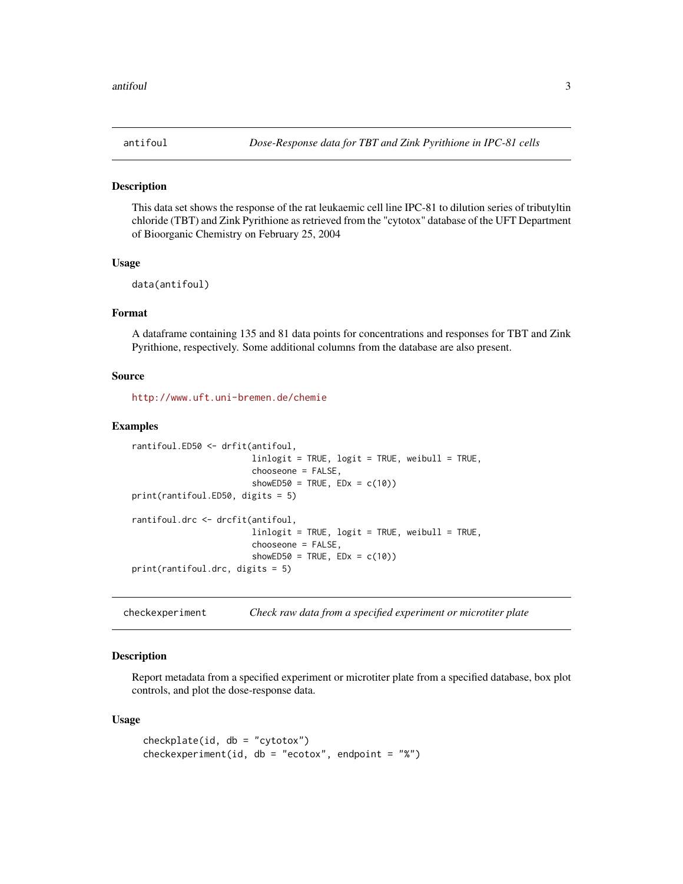<span id="page-2-1"></span><span id="page-2-0"></span>

#### Description

This data set shows the response of the rat leukaemic cell line IPC-81 to dilution series of tributyltin chloride (TBT) and Zink Pyrithione as retrieved from the "cytotox" database of the UFT Department of Bioorganic Chemistry on February 25, 2004

#### Usage

```
data(antifoul)
```
# Format

A dataframe containing 135 and 81 data points for concentrations and responses for TBT and Zink Pyrithione, respectively. Some additional columns from the database are also present.

#### Source

<http://www.uft.uni-bremen.de/chemie>

#### Examples

```
rantifoul.ED50 <- drfit(antifoul,
                        linlogit = TRUE, logit = TRUE, weibull = TRUE,
                        chooseone = FALSE,
                        showED50 = TRUE, EDx = c(10))
print(rantifoul.ED50, digits = 5)
rantifoul.drc <- drcfit(antifoul,
                        linlogit = TRUE, logit = TRUE, weibull = TRUE,
                        chooseone = FALSE,
                        showED50 = TRUE, EDx = c(10))
print(rantifoul.drc, digits = 5)
```
checkexperiment *Check raw data from a specified experiment or microtiter plate*

# Description

Report metadata from a specified experiment or microtiter plate from a specified database, box plot controls, and plot the dose-response data.

#### Usage

```
checkplate(id, db = "cytotox")checkexperiment(id, db = "ecotox", endpoint = "%")
```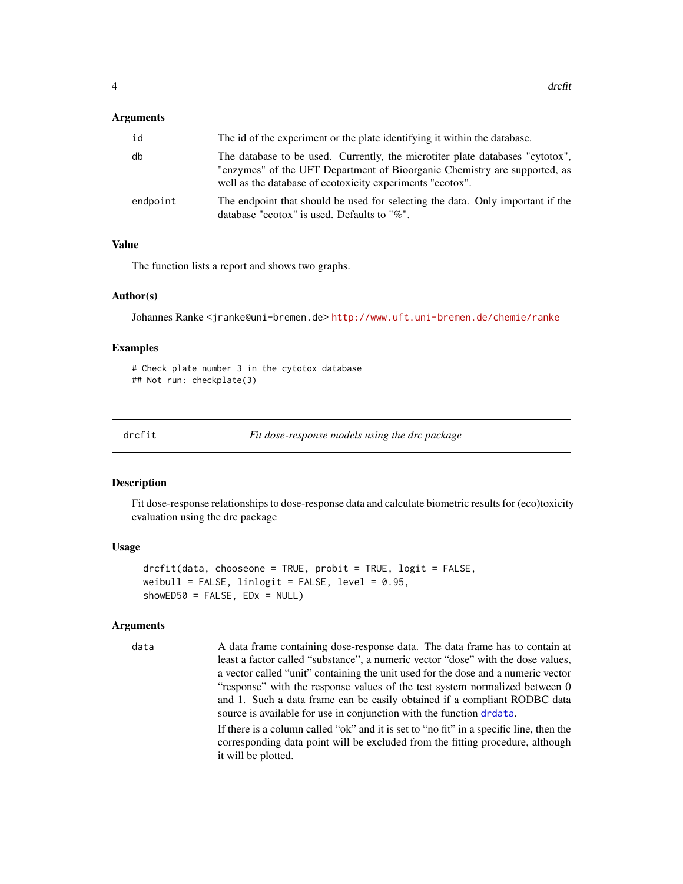#### <span id="page-3-0"></span>Arguments

| id       | The id of the experiment or the plate identifying it within the database.                                                                                                                                               |
|----------|-------------------------------------------------------------------------------------------------------------------------------------------------------------------------------------------------------------------------|
| db       | The database to be used. Currently, the microtiter plate databases "cytotox",<br>"enzymes" of the UFT Department of Bioorganic Chemistry are supported, as<br>well as the database of ecotoxicity experiments "ecotox". |
| endpoint | The endpoint that should be used for selecting the data. Only important if the<br>database "ecotox" is used. Defaults to "%".                                                                                           |

#### Value

The function lists a report and shows two graphs.

#### Author(s)

Johannes Ranke <jranke@uni-bremen.de> <http://www.uft.uni-bremen.de/chemie/ranke>

#### Examples

# Check plate number 3 in the cytotox database ## Not run: checkplate(3)

<span id="page-3-1"></span>

drcfit *Fit dose-response models using the drc package*

#### Description

Fit dose-response relationships to dose-response data and calculate biometric results for (eco)toxicity evaluation using the drc package

#### Usage

```
drefit(data, chooseone = TRUE, probit = TRUE, logit = FALSE,weibull = FALSE, linlogit = FALSE, level = 0.95,
showED50 = FALSE, EDx = NULL)
```
# Arguments

data A data frame containing dose-response data. The data frame has to contain at least a factor called "substance", a numeric vector "dose" with the dose values, a vector called "unit" containing the unit used for the dose and a numeric vector "response" with the response values of the test system normalized between 0 and 1. Such a data frame can be easily obtained if a compliant RODBC data source is available for use in conjunction with the function [drdata](#page-6-1).

> If there is a column called "ok" and it is set to "no fit" in a specific line, then the corresponding data point will be excluded from the fitting procedure, although it will be plotted.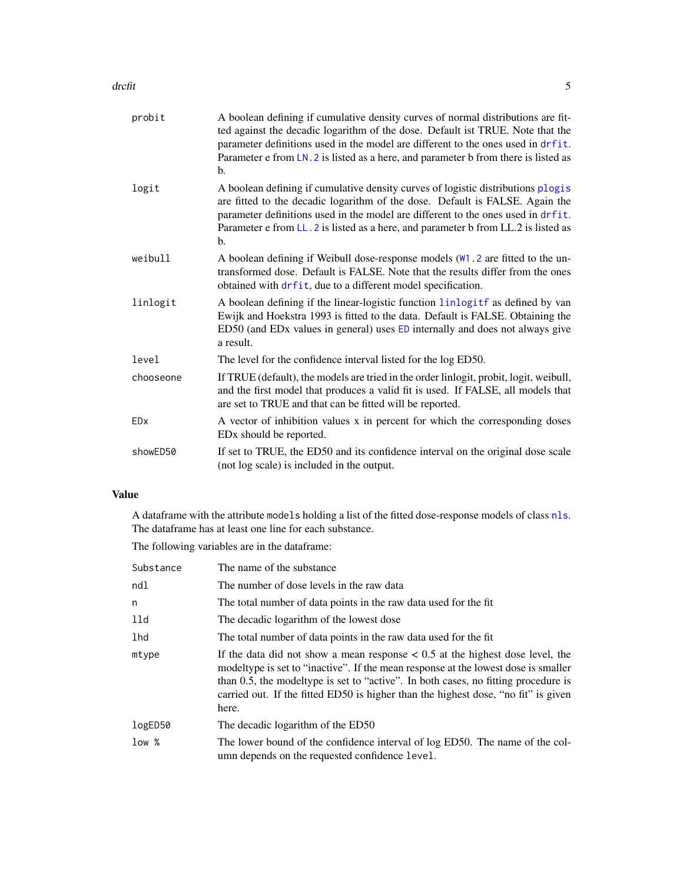#### <span id="page-4-0"></span>drcfit 5 and 5 and 5 and 5 and 5 and 5 and 5 and 5 and 5 and 5 and 5 and 5 and 5 and 5 and 5 and 5 and 5 and 5

| probit                | A boolean defining if cumulative density curves of normal distributions are fit-<br>ted against the decadic logarithm of the dose. Default ist TRUE. Note that the<br>parameter definitions used in the model are different to the ones used in drfit.<br>Parameter e from LN. 2 is listed as a here, and parameter b from there is listed as<br>b. |
|-----------------------|-----------------------------------------------------------------------------------------------------------------------------------------------------------------------------------------------------------------------------------------------------------------------------------------------------------------------------------------------------|
| logit                 | A boolean defining if cumulative density curves of logistic distributions plogis<br>are fitted to the decadic logarithm of the dose. Default is FALSE. Again the<br>parameter definitions used in the model are different to the ones used in drfit.<br>Parameter e from LL. 2 is listed as a here, and parameter b from LL.2 is listed as<br>$b$   |
| weibull               | A boolean defining if Weibull dose-response models (W1.2 are fitted to the un-<br>transformed dose. Default is FALSE. Note that the results differ from the ones<br>obtained with drfit, due to a different model specification.                                                                                                                    |
| linlogit              | A boolean defining if the linear-logistic function linlogitf as defined by van<br>Ewijk and Hoekstra 1993 is fitted to the data. Default is FALSE. Obtaining the<br>ED50 (and EDx values in general) uses ED internally and does not always give<br>a result.                                                                                       |
| level                 | The level for the confidence interval listed for the log ED50.                                                                                                                                                                                                                                                                                      |
| chooseone             | If TRUE (default), the models are tried in the order linlogit, probit, logit, weibull,<br>and the first model that produces a valid fit is used. If FALSE, all models that<br>are set to TRUE and that can be fitted will be reported.                                                                                                              |
| <b>ED<sub>x</sub></b> | A vector of inhibition values x in percent for which the corresponding doses<br>ED <sub>x</sub> should be reported.                                                                                                                                                                                                                                 |
| showED50              | If set to TRUE, the ED50 and its confidence interval on the original dose scale<br>(not log scale) is included in the output.                                                                                                                                                                                                                       |

# Value

A dataframe with the attribute models holding a list of the fitted dose-response models of class [nls](#page-0-0). The dataframe has at least one line for each substance.

The following variables are in the dataframe:

| Substance | The name of the substance                                                                                                                                                                                                                                                                                                                                    |
|-----------|--------------------------------------------------------------------------------------------------------------------------------------------------------------------------------------------------------------------------------------------------------------------------------------------------------------------------------------------------------------|
| ndl       | The number of dose levels in the raw data                                                                                                                                                                                                                                                                                                                    |
| n         | The total number of data points in the raw data used for the fit                                                                                                                                                                                                                                                                                             |
| 11d       | The decadic logarithm of the lowest dose                                                                                                                                                                                                                                                                                                                     |
| lhd       | The total number of data points in the raw data used for the fit                                                                                                                                                                                                                                                                                             |
| mtype     | If the data did not show a mean response $\lt 0.5$ at the highest dose level, the<br>modeltype is set to "inactive". If the mean response at the lowest dose is smaller<br>than 0.5, the modeltype is set to "active". In both cases, no fitting procedure is<br>carried out. If the fitted ED50 is higher than the highest dose, "no fit" is given<br>here. |
| logED50   | The decadic logarithm of the ED50                                                                                                                                                                                                                                                                                                                            |
| low %     | The lower bound of the confidence interval of log ED50. The name of the col-<br>umn depends on the requested confidence level.                                                                                                                                                                                                                               |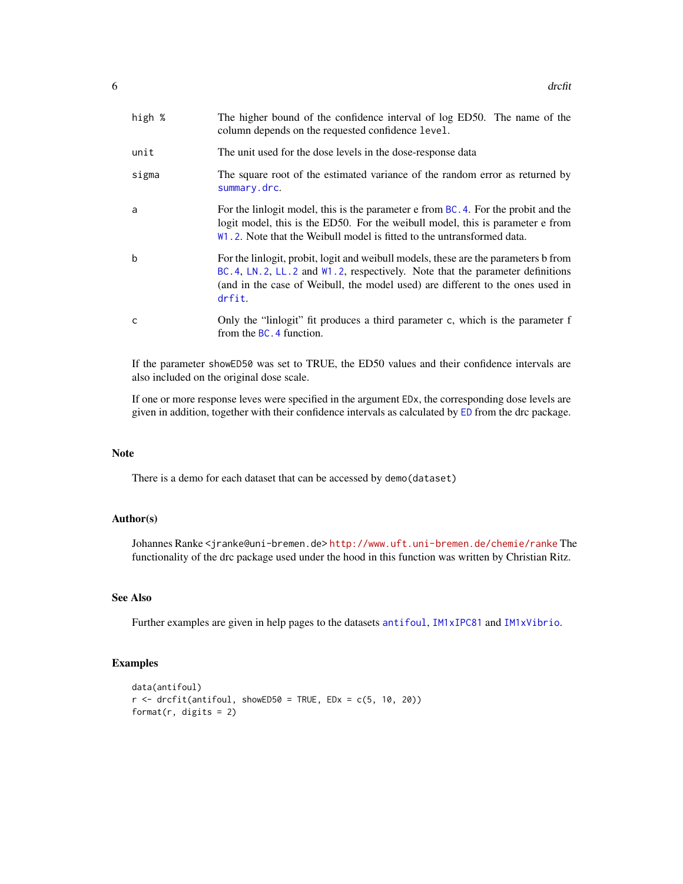<span id="page-5-0"></span>

| high % | The higher bound of the confidence interval of log ED50. The name of the<br>column depends on the requested confidence level.                                                                                                                                       |
|--------|---------------------------------------------------------------------------------------------------------------------------------------------------------------------------------------------------------------------------------------------------------------------|
| unit   | The unit used for the dose levels in the dose-response data                                                                                                                                                                                                         |
| sigma  | The square root of the estimated variance of the random error as returned by<br>summary.drc.                                                                                                                                                                        |
| a      | For the linlogit model, this is the parameter e from BC.4. For the probit and the<br>logit model, this is the ED50. For the weibull model, this is parameter e from<br>W <sub>1</sub> .2. Note that the Weibull model is fitted to the untransformed data.          |
| b      | For the linlogit, probit, logit and weibull models, these are the parameters b from<br>BC. 4, LN. 2, LL. 2 and W1. 2, respectively. Note that the parameter definitions<br>(and in the case of Weibull, the model used) are different to the ones used in<br>drfit. |
| C      | Only the "linlogit" fit produces a third parameter c, which is the parameter f<br>from the BC.4 function.                                                                                                                                                           |

If the parameter showED50 was set to TRUE, the ED50 values and their confidence intervals are also included on the original dose scale.

If one or more response leves were specified in the argument EDx, the corresponding dose levels are given in addition, together with their confidence intervals as calculated by [ED](#page-0-0) from the drc package.

#### Note

There is a demo for each dataset that can be accessed by demo(dataset)

#### Author(s)

Johannes Ranke <jranke@uni-bremen.de> <http://www.uft.uni-bremen.de/chemie/ranke> The functionality of the drc package used under the hood in this function was written by Christian Ritz.

# See Also

Further examples are given in help pages to the datasets [antifoul](#page-2-1), [IM1xIPC81](#page-12-1) and [IM1xVibrio](#page-13-1).

### Examples

```
data(antifoul)
r <- drcfit(antifoul, showED50 = TRUE, EDx = c(5, 10, 20))
format(r, digits = 2)
```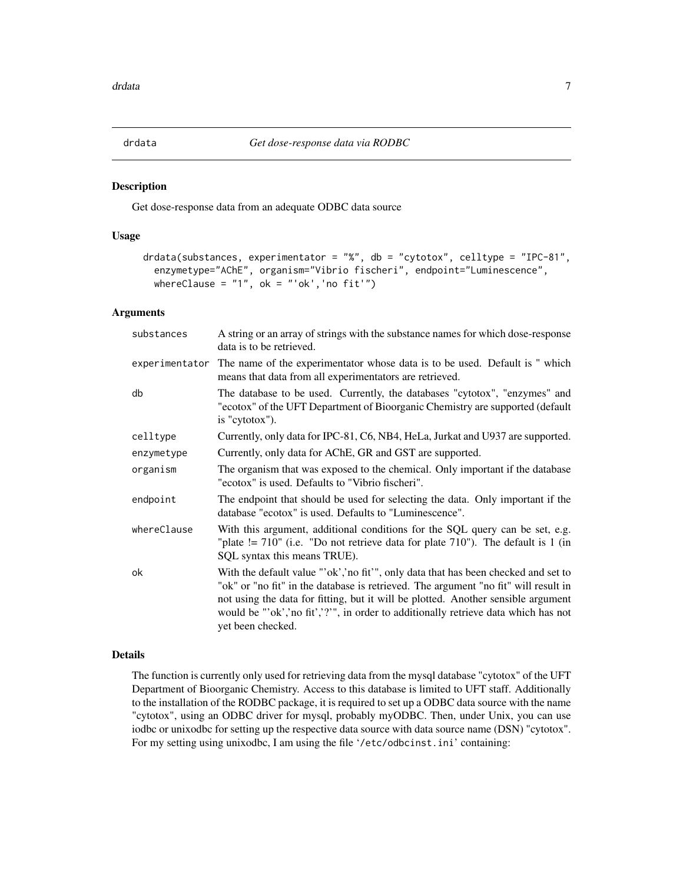<span id="page-6-1"></span><span id="page-6-0"></span>

#### Description

Get dose-response data from an adequate ODBC data source

#### Usage

```
drdata(substances, experimentator = "%", db = "cytotox", celltype = "IPC-81",
 enzymetype="AChE", organism="Vibrio fischeri", endpoint="Luminescence",
 whereClause = "1", ok = "ok", 'no fit'")
```
# Arguments

| substances  | A string or an array of strings with the substance names for which dose-response<br>data is to be retrieved.                                                                                                                                                                                                                                                               |
|-------------|----------------------------------------------------------------------------------------------------------------------------------------------------------------------------------------------------------------------------------------------------------------------------------------------------------------------------------------------------------------------------|
|             | experimentator The name of the experimentator whose data is to be used. Default is "which<br>means that data from all experimentators are retrieved.                                                                                                                                                                                                                       |
| db          | The database to be used. Currently, the databases "cytotox", "enzymes" and<br>"ecotox" of the UFT Department of Bioorganic Chemistry are supported (default<br>is "cytotox").                                                                                                                                                                                              |
| celltype    | Currently, only data for IPC-81, C6, NB4, HeLa, Jurkat and U937 are supported.                                                                                                                                                                                                                                                                                             |
| enzymetype  | Currently, only data for AChE, GR and GST are supported.                                                                                                                                                                                                                                                                                                                   |
| organism    | The organism that was exposed to the chemical. Only important if the database<br>"ecotox" is used. Defaults to "Vibrio fischeri".                                                                                                                                                                                                                                          |
| endpoint    | The endpoint that should be used for selecting the data. Only important if the<br>database "ecotox" is used. Defaults to "Luminescence".                                                                                                                                                                                                                                   |
| whereClause | With this argument, additional conditions for the SQL query can be set, e.g.<br>"plate $!= 710$ " (i.e. "Do not retrieve data for plate $710$ "). The default is 1 (in<br>SQL syntax this means TRUE).                                                                                                                                                                     |
| ok          | With the default value "'ok',' no fit'", only data that has been checked and set to<br>"ok" or "no fit" in the database is retrieved. The argument "no fit" will result in<br>not using the data for fitting, but it will be plotted. Another sensible argument<br>would be "'ok','no fit','?'", in order to additionally retrieve data which has not<br>yet been checked. |

#### Details

The function is currently only used for retrieving data from the mysql database "cytotox" of the UFT Department of Bioorganic Chemistry. Access to this database is limited to UFT staff. Additionally to the installation of the RODBC package, it is required to set up a ODBC data source with the name "cytotox", using an ODBC driver for mysql, probably myODBC. Then, under Unix, you can use iodbc or unixodbc for setting up the respective data source with data source name (DSN) "cytotox". For my setting using unixodbc, I am using the file '/etc/odbcinst.ini' containing: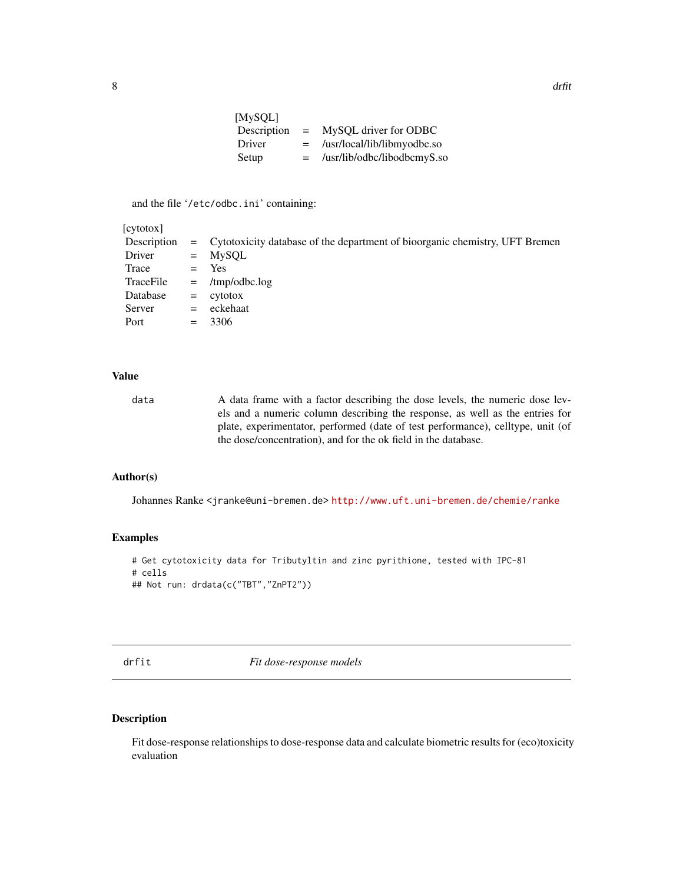| [MySQL]     |     |                             |
|-------------|-----|-----------------------------|
| Description | $=$ | MySQL driver for ODBC       |
| Driver      | $=$ | /usr/local/lib/libmyodbc.so |
| Setup       |     | /usr/lib/odbc/libodbcmyS.so |

<span id="page-7-0"></span>and the file '/etc/odbc.ini' containing:

| [cytotox]   |         |                                                                               |
|-------------|---------|-------------------------------------------------------------------------------|
| Description |         | = Cytotoxicity database of the department of bioorganic chemistry, UFT Bremen |
| Driver      | $=$     | MySQL                                                                         |
| Trace       | $=$ $-$ | <b>Yes</b>                                                                    |
| TraceFile   | $=$     | $\mu$ mp/odbc.log                                                             |
| Database    | $=$     | cytotox                                                                       |
| Server      | $=$     | eckehaat                                                                      |
| Port        | $=$     | 3306                                                                          |

#### Value

data A data frame with a factor describing the dose levels, the numeric dose levels and a numeric column describing the response, as well as the entries for plate, experimentator, performed (date of test performance), celltype, unit (of the dose/concentration), and for the ok field in the database.

#### Author(s)

Johannes Ranke <jranke@uni-bremen.de> <http://www.uft.uni-bremen.de/chemie/ranke>

# Examples

```
# Get cytotoxicity data for Tributyltin and zinc pyrithione, tested with IPC-81
# cells
## Not run: drdata(c("TBT","ZnPT2"))
```
<span id="page-7-1"></span>drfit *Fit dose-response models*

#### Description

Fit dose-response relationships to dose-response data and calculate biometric results for (eco)toxicity evaluation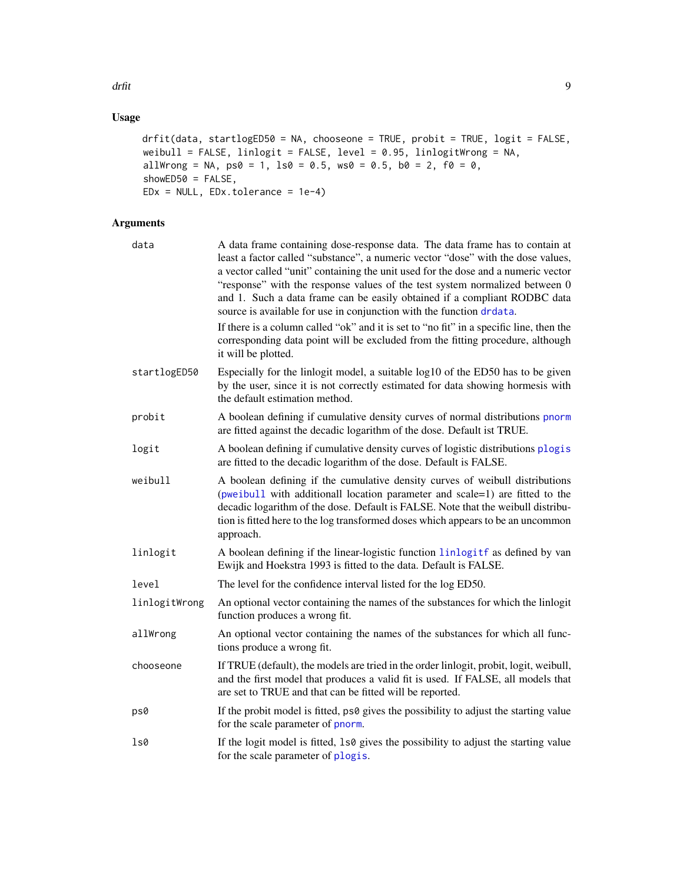# <span id="page-8-0"></span>Usage

```
drfit(data, startlogED50 = NA, chooseone = TRUE, probit = TRUE, logit = FALSE,
weibull = FALSE, linlogit = FALSE, level = 0.95, linlogitWrong = NA,
allWrong = NA, ps0 = 1, ls0 = 0.5, ws0 = 0.5, b0 = 2, f0 = 0,
showED50 = FALSE,
EDx = NULL, EDx.tolerance = 1e-4)
```
# Arguments

| data          | A data frame containing dose-response data. The data frame has to contain at<br>least a factor called "substance", a numeric vector "dose" with the dose values,<br>a vector called "unit" containing the unit used for the dose and a numeric vector<br>"response" with the response values of the test system normalized between 0<br>and 1. Such a data frame can be easily obtained if a compliant RODBC data<br>source is available for use in conjunction with the function drdata. |
|---------------|-------------------------------------------------------------------------------------------------------------------------------------------------------------------------------------------------------------------------------------------------------------------------------------------------------------------------------------------------------------------------------------------------------------------------------------------------------------------------------------------|
|               | If there is a column called "ok" and it is set to "no fit" in a specific line, then the<br>corresponding data point will be excluded from the fitting procedure, although<br>it will be plotted.                                                                                                                                                                                                                                                                                          |
| startlogED50  | Especially for the linlogit model, a suitable log10 of the ED50 has to be given<br>by the user, since it is not correctly estimated for data showing hormesis with<br>the default estimation method.                                                                                                                                                                                                                                                                                      |
| probit        | A boolean defining if cumulative density curves of normal distributions pnorm<br>are fitted against the decadic logarithm of the dose. Default ist TRUE.                                                                                                                                                                                                                                                                                                                                  |
| logit         | A boolean defining if cumulative density curves of logistic distributions plogis<br>are fitted to the decadic logarithm of the dose. Default is FALSE.                                                                                                                                                                                                                                                                                                                                    |
| weibull       | A boolean defining if the cumulative density curves of weibull distributions<br>(pweibull with additionall location parameter and scale=1) are fitted to the<br>decadic logarithm of the dose. Default is FALSE. Note that the weibull distribu-<br>tion is fitted here to the log transformed doses which appears to be an uncommon<br>approach.                                                                                                                                         |
| linlogit      | A boolean defining if the linear-logistic function linlogitf as defined by van<br>Ewijk and Hoekstra 1993 is fitted to the data. Default is FALSE.                                                                                                                                                                                                                                                                                                                                        |
| level         | The level for the confidence interval listed for the log ED50.                                                                                                                                                                                                                                                                                                                                                                                                                            |
| linlogitWrong | An optional vector containing the names of the substances for which the linlogit<br>function produces a wrong fit.                                                                                                                                                                                                                                                                                                                                                                        |
| allWrong      | An optional vector containing the names of the substances for which all func-<br>tions produce a wrong fit.                                                                                                                                                                                                                                                                                                                                                                               |
| chooseone     | If TRUE (default), the models are tried in the order linlogit, probit, logit, weibull,<br>and the first model that produces a valid fit is used. If FALSE, all models that<br>are set to TRUE and that can be fitted will be reported.                                                                                                                                                                                                                                                    |
| ps0           | If the probit model is fitted, ps0 gives the possibility to adjust the starting value<br>for the scale parameter of pnorm.                                                                                                                                                                                                                                                                                                                                                                |
| ls0           | If the logit model is fitted, 1s0 gives the possibility to adjust the starting value<br>for the scale parameter of plogis.                                                                                                                                                                                                                                                                                                                                                                |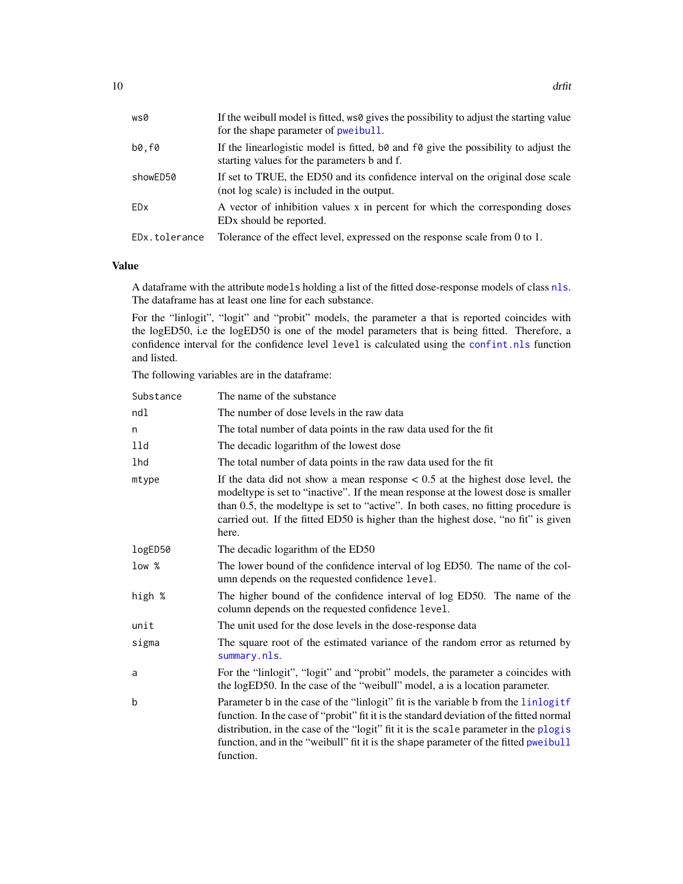<span id="page-9-0"></span>

| ws0           | If the weibull model is fitted, ws0 gives the possibility to adjust the starting value<br>for the shape parameter of pweibull.      |
|---------------|-------------------------------------------------------------------------------------------------------------------------------------|
| b0,f0         | If the linear logistic model is fitted, b0 and f0 give the possibility to adjust the<br>starting values for the parameters b and f. |
| showED50      | If set to TRUE, the ED50 and its confidence interval on the original dose scale<br>(not log scale) is included in the output.       |
| EDx           | A vector of inhibition values x in percent for which the corresponding doses<br>ED <sub>x</sub> should be reported.                 |
| EDx.tolerance | Tolerance of the effect level, expressed on the response scale from 0 to 1.                                                         |

#### Value

A dataframe with the attribute models holding a list of the fitted dose-response models of class [nls](#page-0-0). The dataframe has at least one line for each substance.

For the "linlogit", "logit" and "probit" models, the parameter a that is reported coincides with the logED50, i.e the logED50 is one of the model parameters that is being fitted. Therefore, a confidence interval for the confidence level level is calculated using the [confint.nls](#page-0-0) function and listed.

The following variables are in the dataframe:

| Substance | The name of the substance                                                                                                                                                                                                                                                                                                                                                 |
|-----------|---------------------------------------------------------------------------------------------------------------------------------------------------------------------------------------------------------------------------------------------------------------------------------------------------------------------------------------------------------------------------|
| ndl       | The number of dose levels in the raw data                                                                                                                                                                                                                                                                                                                                 |
| n         | The total number of data points in the raw data used for the fit                                                                                                                                                                                                                                                                                                          |
| lld       | The decadic logarithm of the lowest dose                                                                                                                                                                                                                                                                                                                                  |
| lhd       | The total number of data points in the raw data used for the fit                                                                                                                                                                                                                                                                                                          |
| mtype     | If the data did not show a mean response $< 0.5$ at the highest dose level, the<br>modeltype is set to "inactive". If the mean response at the lowest dose is smaller<br>than 0.5, the modeltype is set to "active". In both cases, no fitting procedure is<br>carried out. If the fitted ED50 is higher than the highest dose, "no fit" is given<br>here.                |
| logED50   | The decadic logarithm of the ED50                                                                                                                                                                                                                                                                                                                                         |
| low %     | The lower bound of the confidence interval of log ED50. The name of the col-<br>umn depends on the requested confidence level.                                                                                                                                                                                                                                            |
| high %    | The higher bound of the confidence interval of log ED50. The name of the<br>column depends on the requested confidence level.                                                                                                                                                                                                                                             |
| unit      | The unit used for the dose levels in the dose-response data                                                                                                                                                                                                                                                                                                               |
| sigma     | The square root of the estimated variance of the random error as returned by<br>summary.nls.                                                                                                                                                                                                                                                                              |
| a         | For the "linlogit", "logit" and "probit" models, the parameter a coincides with<br>the logED50. In the case of the "weibull" model, a is a location parameter.                                                                                                                                                                                                            |
| b         | Parameter b in the case of the "linlogit" fit is the variable b from the linlogitf<br>function. In the case of "probit" fit it is the standard deviation of the fitted normal<br>distribution, in the case of the "logit" fit it is the scale parameter in the plogis<br>function, and in the "weibull" fit it is the shape parameter of the fitted pweibull<br>function. |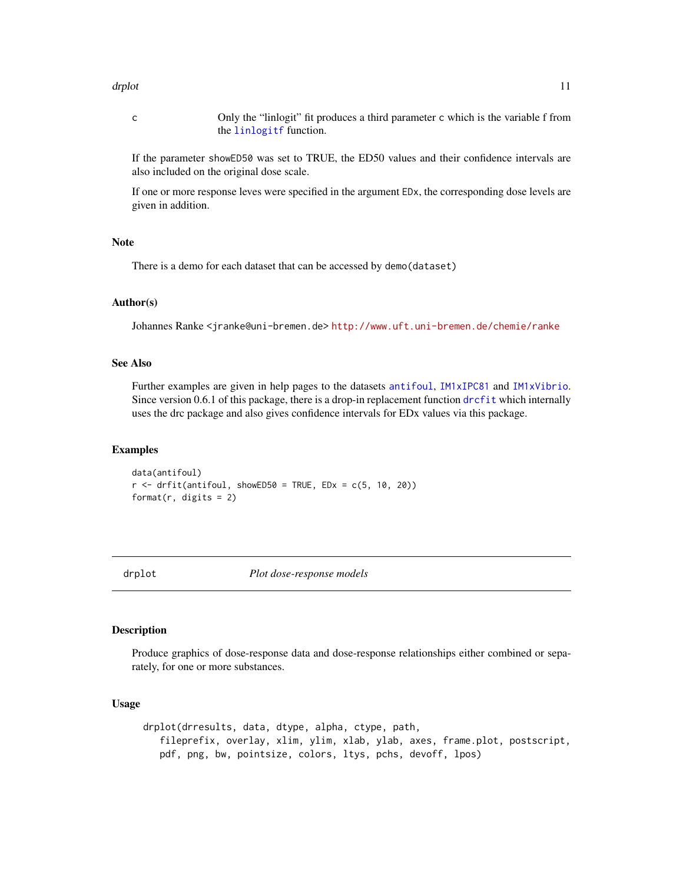#### <span id="page-10-0"></span>drplot the contract of the contract of the contract of the contract of the contract of the contract of the contract of the contract of the contract of the contract of the contract of the contract of the contract of the con

c Only the "linlogit" fit produces a third parameter c which is the variable f from the [linlogitf](#page-14-1) function.

If the parameter showED50 was set to TRUE, the ED50 values and their confidence intervals are also included on the original dose scale.

If one or more response leves were specified in the argument EDx, the corresponding dose levels are given in addition.

# Note

There is a demo for each dataset that can be accessed by demo(dataset)

#### Author(s)

Johannes Ranke <jranke@uni-bremen.de> <http://www.uft.uni-bremen.de/chemie/ranke>

# See Also

Further examples are given in help pages to the datasets [antifoul](#page-2-1), [IM1xIPC81](#page-12-1) and [IM1xVibrio](#page-13-1). Since version 0.6.1 of this package, there is a drop-in replacement function [drcfit](#page-3-1) which internally uses the drc package and also gives confidence intervals for EDx values via this package.

#### Examples

```
data(antifoul)
r \le drfit(antifoul, showED50 = TRUE, EDx = c(5, 10, 20))
format(r, digits = 2)
```
drplot *Plot dose-response models*

#### Description

Produce graphics of dose-response data and dose-response relationships either combined or separately, for one or more substances.

#### Usage

```
drplot(drresults, data, dtype, alpha, ctype, path,
  fileprefix, overlay, xlim, ylim, xlab, ylab, axes, frame.plot, postscript,
  pdf, png, bw, pointsize, colors, ltys, pchs, devoff, lpos)
```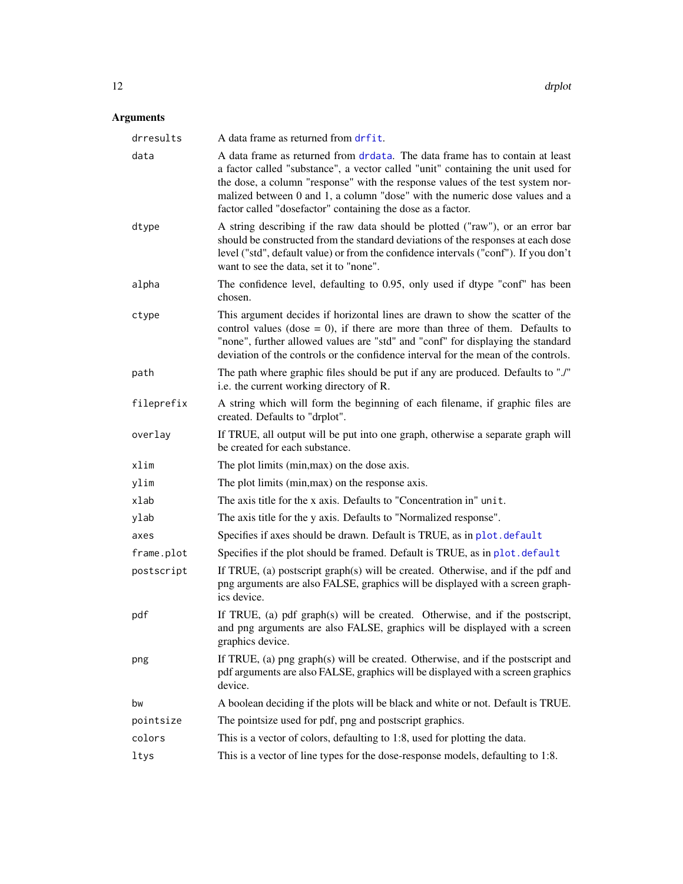# <span id="page-11-0"></span>Arguments

| drresults  | A data frame as returned from drfit.                                                                                                                                                                                                                                                                                                                                                             |
|------------|--------------------------------------------------------------------------------------------------------------------------------------------------------------------------------------------------------------------------------------------------------------------------------------------------------------------------------------------------------------------------------------------------|
| data       | A data frame as returned from drdata. The data frame has to contain at least<br>a factor called "substance", a vector called "unit" containing the unit used for<br>the dose, a column "response" with the response values of the test system nor-<br>malized between 0 and 1, a column "dose" with the numeric dose values and a<br>factor called "dosefactor" containing the dose as a factor. |
| dtype      | A string describing if the raw data should be plotted ("raw"), or an error bar<br>should be constructed from the standard deviations of the responses at each dose<br>level ("std", default value) or from the confidence intervals ("conf"). If you don't<br>want to see the data, set it to "none".                                                                                            |
| alpha      | The confidence level, defaulting to 0.95, only used if dtype "conf" has been<br>chosen.                                                                                                                                                                                                                                                                                                          |
| ctype      | This argument decides if horizontal lines are drawn to show the scatter of the<br>control values (dose $= 0$ ), if there are more than three of them. Defaults to<br>"none", further allowed values are "std" and "conf" for displaying the standard<br>deviation of the controls or the confidence interval for the mean of the controls.                                                       |
| path       | The path where graphic files should be put if any are produced. Defaults to "./"<br>i.e. the current working directory of R.                                                                                                                                                                                                                                                                     |
| fileprefix | A string which will form the beginning of each filename, if graphic files are<br>created. Defaults to "drplot".                                                                                                                                                                                                                                                                                  |
| overlay    | If TRUE, all output will be put into one graph, otherwise a separate graph will<br>be created for each substance.                                                                                                                                                                                                                                                                                |
| xlim       | The plot limits (min, max) on the dose axis.                                                                                                                                                                                                                                                                                                                                                     |
| ylim       | The plot limits (min, max) on the response axis.                                                                                                                                                                                                                                                                                                                                                 |
| xlab       | The axis title for the x axis. Defaults to "Concentration in" unit.                                                                                                                                                                                                                                                                                                                              |
| ylab       | The axis title for the y axis. Defaults to "Normalized response".                                                                                                                                                                                                                                                                                                                                |
| axes       | Specifies if axes should be drawn. Default is TRUE, as in plot. default                                                                                                                                                                                                                                                                                                                          |
| frame.plot | Specifies if the plot should be framed. Default is TRUE, as in plot. default                                                                                                                                                                                                                                                                                                                     |
| postscript | If TRUE, (a) postscript graph(s) will be created. Otherwise, and if the pdf and<br>png arguments are also FALSE, graphics will be displayed with a screen graph-<br>ics device.                                                                                                                                                                                                                  |
| pdf        | If TRUE, (a) pdf graph(s) will be created. Otherwise, and if the postscript,<br>and png arguments are also FALSE, graphics will be displayed with a screen<br>graphics device.                                                                                                                                                                                                                   |
| png        | If TRUE, (a) png graph(s) will be created. Otherwise, and if the postscript and<br>pdf arguments are also FALSE, graphics will be displayed with a screen graphics<br>device.                                                                                                                                                                                                                    |
| bw         | A boolean deciding if the plots will be black and white or not. Default is TRUE.                                                                                                                                                                                                                                                                                                                 |
| pointsize  | The pointsize used for pdf, png and postscript graphics.                                                                                                                                                                                                                                                                                                                                         |
| colors     | This is a vector of colors, defaulting to 1:8, used for plotting the data.                                                                                                                                                                                                                                                                                                                       |
| ltys       | This is a vector of line types for the dose-response models, defaulting to 1:8.                                                                                                                                                                                                                                                                                                                  |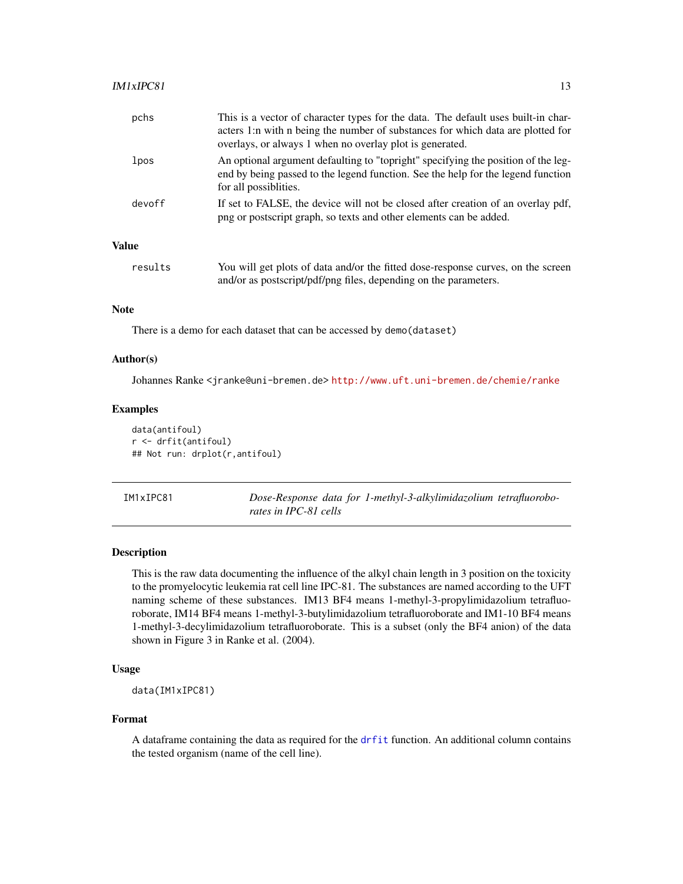#### <span id="page-12-0"></span> $IM1xIPCS1$  13

| pchs         | This is a vector of character types for the data. The default uses built-in char-<br>acters 1:n with n being the number of substances for which data are plotted for<br>overlays, or always 1 when no overlay plot is generated. |  |
|--------------|----------------------------------------------------------------------------------------------------------------------------------------------------------------------------------------------------------------------------------|--|
| lpos         | An optional argument defaulting to "topright" specifying the position of the leg-<br>end by being passed to the legend function. See the help for the legend function<br>for all possiblities.                                   |  |
| devoff       | If set to FALSE, the device will not be closed after creation of an overlay pdf,<br>png or postscript graph, so texts and other elements can be added.                                                                           |  |
| <b>Value</b> |                                                                                                                                                                                                                                  |  |

results You will get plots of data and/or the fitted dose-response curves, on the screen

# and/or as postscript/pdf/png files, depending on the parameters.

#### **Note**

There is a demo for each dataset that can be accessed by demo(dataset)

#### Author(s)

Johannes Ranke <jranke@uni-bremen.de> <http://www.uft.uni-bremen.de/chemie/ranke>

#### Examples

data(antifoul) r <- drfit(antifoul) ## Not run: drplot(r,antifoul)

<span id="page-12-1"></span>

| IM1xIPC81 |  |
|-----------|--|
|-----------|--|

Dose-Response data for 1-methyl-3-alkylimidazolium tetrafluorobo*rates in IPC-81 cells*

#### Description

This is the raw data documenting the influence of the alkyl chain length in 3 position on the toxicity to the promyelocytic leukemia rat cell line IPC-81. The substances are named according to the UFT naming scheme of these substances. IM13 BF4 means 1-methyl-3-propylimidazolium tetrafluoroborate, IM14 BF4 means 1-methyl-3-butylimidazolium tetrafluoroborate and IM1-10 BF4 means 1-methyl-3-decylimidazolium tetrafluoroborate. This is a subset (only the BF4 anion) of the data shown in Figure 3 in Ranke et al. (2004).

# Usage

```
data(IM1xIPC81)
```
#### Format

A dataframe containing the data as required for the [drfit](#page-7-1) function. An additional column contains the tested organism (name of the cell line).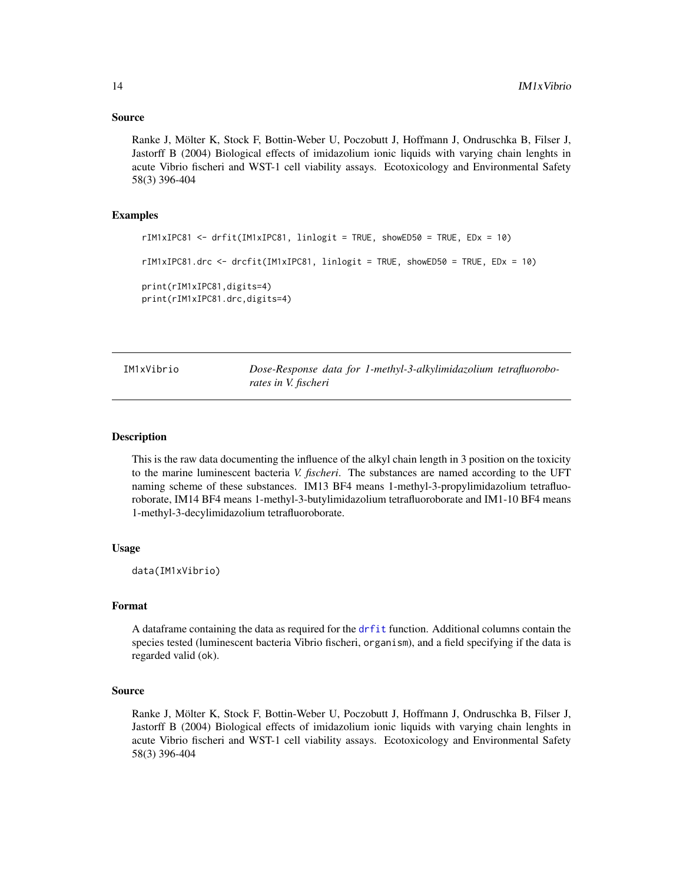#### Source

Ranke J, Mölter K, Stock F, Bottin-Weber U, Poczobutt J, Hoffmann J, Ondruschka B, Filser J, Jastorff B (2004) Biological effects of imidazolium ionic liquids with varying chain lenghts in acute Vibrio fischeri and WST-1 cell viability assays. Ecotoxicology and Environmental Safety 58(3) 396-404

#### Examples

```
rIM1xIPC81 \leftarrow drfit(IM1xIPC81, linlogit = TRUE, showED50 = TRUE, EDx = 10)rIM1xIPC81.drc <- drcfit(IM1xIPC81, linlogit = TRUE, showED50 = TRUE, EDx = 10)
print(rIM1xIPC81,digits=4)
print(rIM1xIPC81.drc,digits=4)
```
<span id="page-13-1"></span>IM1xVibrio *Dose-Response data for 1-methyl-3-alkylimidazolium tetrafluoroborates in V. fischeri*

#### **Description**

This is the raw data documenting the influence of the alkyl chain length in 3 position on the toxicity to the marine luminescent bacteria *V. fischeri*. The substances are named according to the UFT naming scheme of these substances. IM13 BF4 means 1-methyl-3-propylimidazolium tetrafluoroborate, IM14 BF4 means 1-methyl-3-butylimidazolium tetrafluoroborate and IM1-10 BF4 means 1-methyl-3-decylimidazolium tetrafluoroborate.

#### Usage

data(IM1xVibrio)

#### Format

A dataframe containing the data as required for the [drfit](#page-7-1) function. Additional columns contain the species tested (luminescent bacteria Vibrio fischeri, organism), and a field specifying if the data is regarded valid (ok).

#### Source

Ranke J, Mölter K, Stock F, Bottin-Weber U, Poczobutt J, Hoffmann J, Ondruschka B, Filser J, Jastorff B (2004) Biological effects of imidazolium ionic liquids with varying chain lenghts in acute Vibrio fischeri and WST-1 cell viability assays. Ecotoxicology and Environmental Safety 58(3) 396-404

<span id="page-13-0"></span>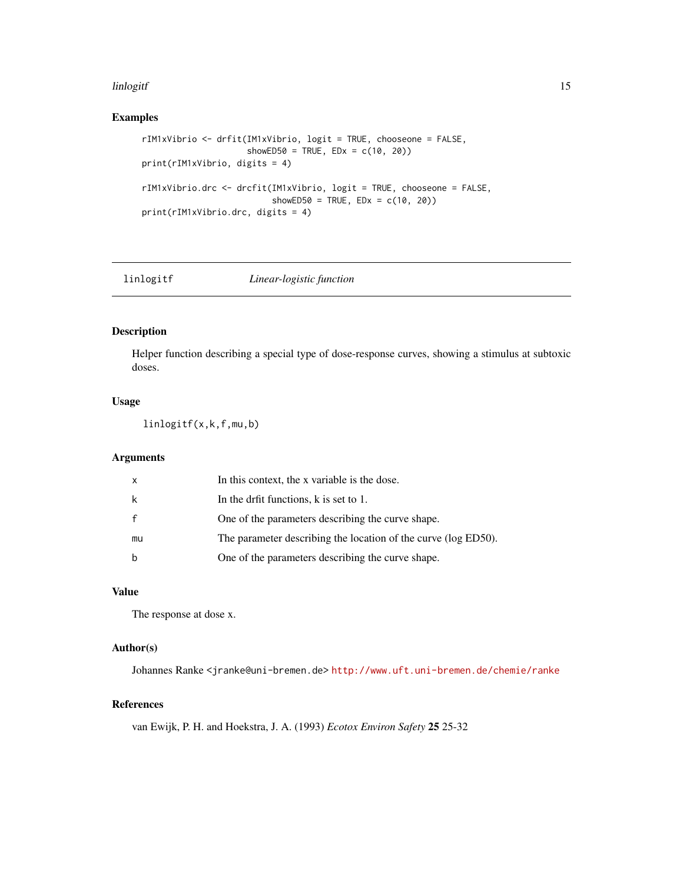#### <span id="page-14-0"></span>linlogitf the contract of the contract of the contract of the contract of the contract of the contract of the contract of the contract of the contract of the contract of the contract of the contract of the contract of the

# Examples

```
rIM1xVibrio <- drfit(IM1xVibrio, logit = TRUE, chooseone = FALSE,
                    showED50 = TRUE, EDx = c(10, 20)print(rIM1xVibrio, digits = 4)
rIM1xVibrio.drc <- drcfit(IM1xVibrio, logit = TRUE, chooseone = FALSE,
                          showED50 = TRUE, EDx = c(10, 20)print(rIM1xVibrio.drc, digits = 4)
```
<span id="page-14-1"></span>

| linlogitf |  |
|-----------|--|
|           |  |

# gitf *Linear-logistic function*

# Description

Helper function describing a special type of dose-response curves, showing a stimulus at subtoxic doses.

# Usage

linlogitf(x,k,f,mu,b)

# Arguments

| X            | In this context, the x variable is the dose.                   |
|--------------|----------------------------------------------------------------|
| k            | In the drfit functions, k is set to 1.                         |
| $\mathsf{f}$ | One of the parameters describing the curve shape.              |
| mu           | The parameter describing the location of the curve (log ED50). |
| b            | One of the parameters describing the curve shape.              |

#### Value

The response at dose x.

#### Author(s)

Johannes Ranke <jranke@uni-bremen.de> <http://www.uft.uni-bremen.de/chemie/ranke>

#### References

van Ewijk, P. H. and Hoekstra, J. A. (1993) *Ecotox Environ Safety* 25 25-32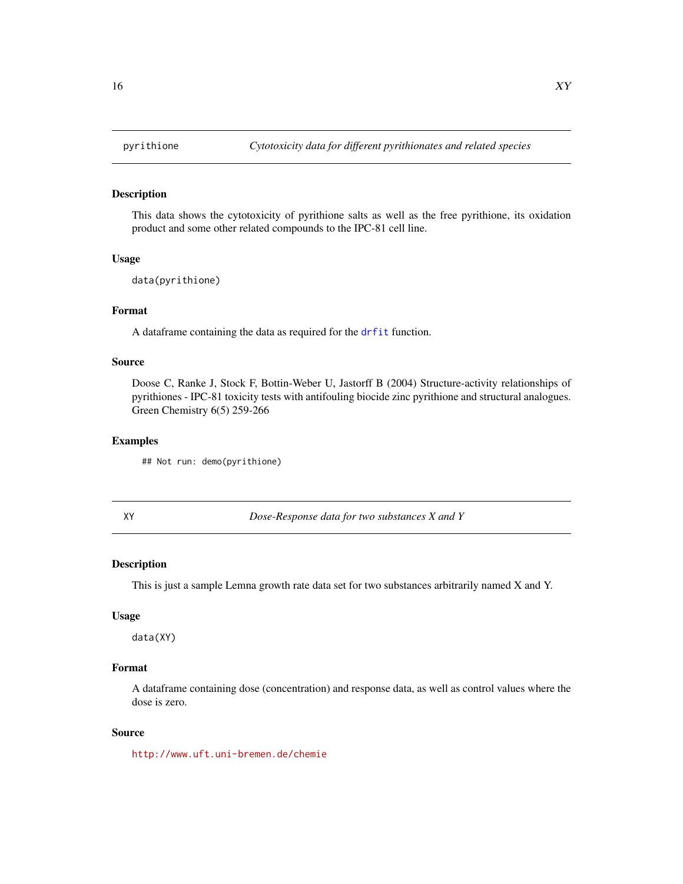<span id="page-15-0"></span>

#### Description

This data shows the cytotoxicity of pyrithione salts as well as the free pyrithione, its oxidation product and some other related compounds to the IPC-81 cell line.

#### Usage

data(pyrithione)

# Format

A dataframe containing the data as required for the [drfit](#page-7-1) function.

#### Source

Doose C, Ranke J, Stock F, Bottin-Weber U, Jastorff B (2004) Structure-activity relationships of pyrithiones - IPC-81 toxicity tests with antifouling biocide zinc pyrithione and structural analogues. Green Chemistry 6(5) 259-266

# Examples

## Not run: demo(pyrithione)

XY *Dose-Response data for two substances X and Y*

# Description

This is just a sample Lemna growth rate data set for two substances arbitrarily named X and Y.

#### Usage

data(XY)

# Format

A dataframe containing dose (concentration) and response data, as well as control values where the dose is zero.

#### Source

<http://www.uft.uni-bremen.de/chemie>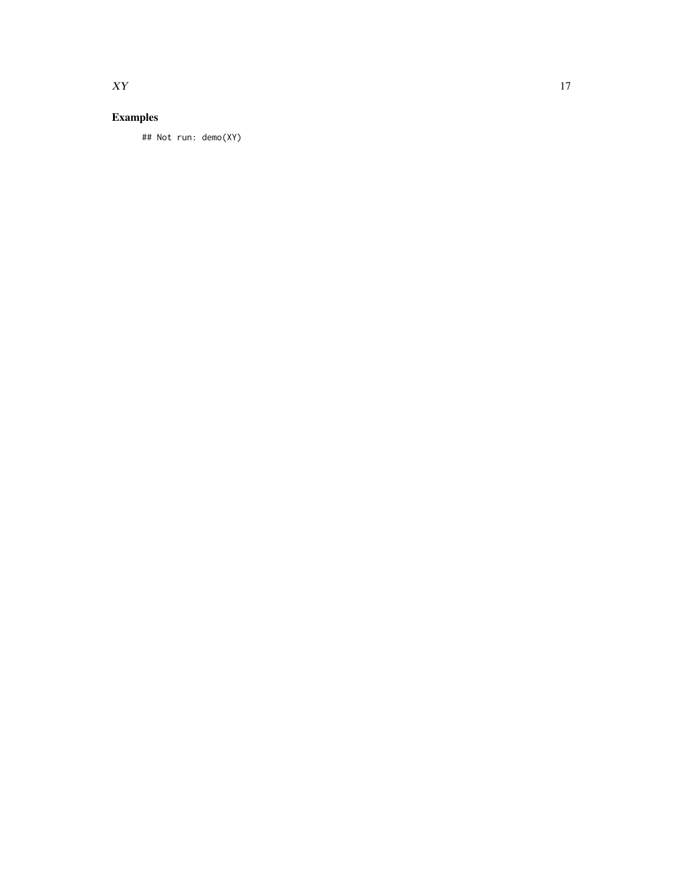#### $XY$  and the set of the set of the set of the set of the set of the set of the set of the set of the set of the set of the set of the set of the set of the set of the set of the set of the set of the set of the set of the

# Examples

## Not run: demo(XY)